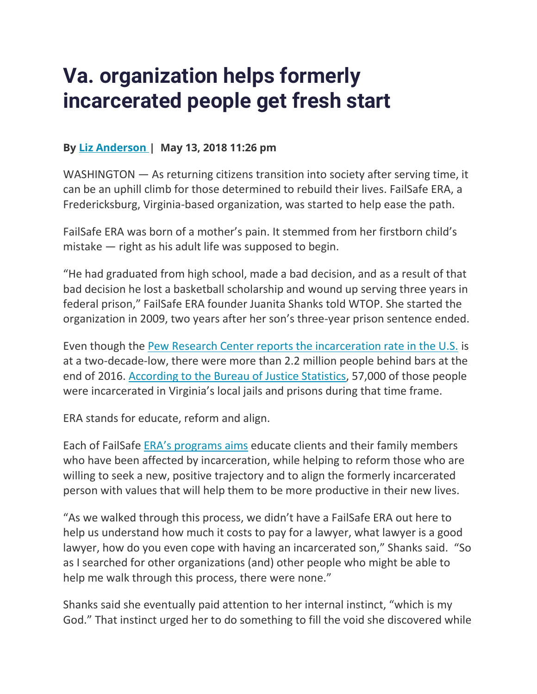## **Va. organization helps formerly incarcerated people get fresh start**

## **By [Liz Anderson](https://wtop.com/author/liz-anderson/) | May 13, 2018 11:26 pm**

WASHINGTON – As returning citizens transition into society after serving time, it can be an uphill climb for those determined to rebuild their lives. FailSafe ERA, a Fredericksburg, Virginia-based organization, was started to help ease the path.

FailSafe ERA was born of a mother's pain. It stemmed from her firstborn child's mistake — right as his adult life was supposed to begin.

"He had graduated from high school, made a bad decision, and as a result of that bad decision he lost a basketball scholarship and wound up serving three years in federal prison," FailSafe ERA founder Juanita Shanks told WTOP. She started the organization in 2009, two years after her son's three-year prison sentence ended.

Even though the [Pew Research Center reports the incarceration rate in the U.S.](http://www.pewresearch.org/fact-tank/2018/05/02/americas-incarceration-rate-is-at-a-two-decade-low/) is at a two-decade-low, there were more than 2.2 million people behind bars at the end of 2016. [According to the Bureau of Justice Statistics,](https://www.bjs.gov/content/pub/pdf/cpus16.pdf) 57,000 of those people were incarcerated in Virginia's local jails and prisons during that time frame.

ERA stands for educate, reform and align.

Each of FailSafe [ERA's programs aims](https://www.failsafe-era.org/about-us) educate clients and their family members who have been affected by incarceration, while helping to reform those who are willing to seek a new, positive trajectory and to align the formerly incarcerated person with values that will help them to be more productive in their new lives.

"As we walked through this process, we didn't have a FailSafe ERA out here to help us understand how much it costs to pay for a lawyer, what lawyer is a good lawyer, how do you even cope with having an incarcerated son," Shanks said. "So as I searched for other organizations (and) other people who might be able to help me walk through this process, there were none."

Shanks said she eventually paid attention to her internal instinct, "which is my God." That instinct urged her to do something to fill the void she discovered while